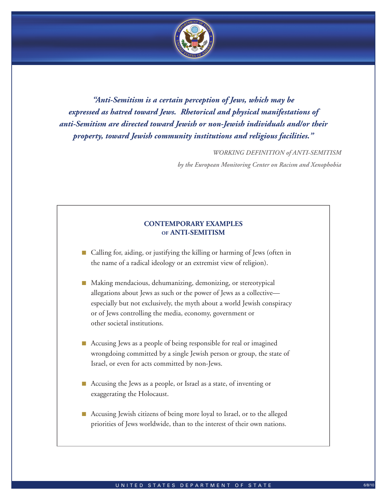

*"Anti-Semitism is a certain perception of Jews, which may be expressed as hatred toward Jews. Rhetorical and physical manifestations of anti-Semitism are directed toward Jewish or non-Jewish individuals and/or their property, toward Jewish community institutions and religious facilities."*

*WORKING DEFINITION of ANTI-SEMITISM* 

*by the European Monitoring Center on Racism and Xenophobia*

# **CONTEMPORARY EXAMPLES of ANTI-SEMITISM**

- Calling for, aiding, or justifying the killing or harming of Jews (often in the name of a radical ideology or an extremist view of religion).
- Making mendacious, dehumanizing, demonizing, or stereotypical allegations about Jews as such or the power of Jews as a collective especially but not exclusively, the myth about a world Jewish conspiracy or of Jews controlling the media, economy, government or other societal institutions.
- Accusing Jews as a people of being responsible for real or imagined wrongdoing committed by a single Jewish person or group, the state of Israel, or even for acts committed by non-Jews.
- Accusing the Jews as a people, or Israel as a state, of inventing or exaggerating the Holocaust.
- Accusing Jewish citizens of being more loyal to Israel, or to the alleged priorities of Jews worldwide, than to the interest of their own nations.